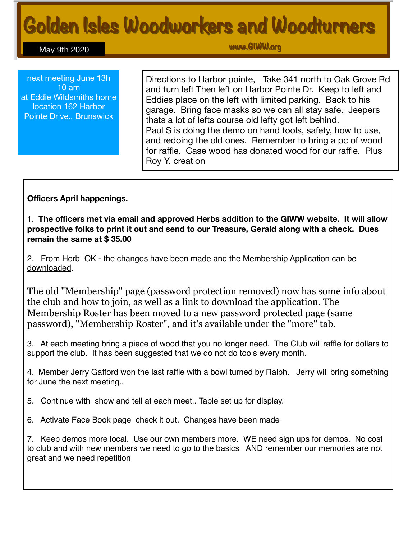# Golden Isles Woodworkers and Woodturners

May 9th 2020

www.GlWW.org

next meeting June 13h 10 am at Eddie Wildsmiths home location 162 Harbor Pointe Drive., Brunswick

Directions to Harbor pointe, Take 341 north to Oak Grove Rd and turn left Then left on Harbor Pointe Dr. Keep to left and Eddies place on the left with limited parking. Back to his garage. Bring face masks so we can all stay safe. Jeepers thats a lot of lefts course old lefty got left behind. Paul S is doing the demo on hand tools, safety, how to use, and redoing the old ones. Remember to bring a pc of wood for raffle. Case wood has donated wood for our raffle. Plus Roy Y. creation

**Officers April happenings.** 

1. **The officers met via email and approved Herbs addition to the GIWW website. It will allow prospective folks to print it out and send to our Treasure, Gerald along with a check. Dues remain the same at \$ 35.00** 

2. From Herb OK - the changes have been made and the Membership Application can be downloaded.

The old "Membership" page (password protection removed) now has some info about the club and how to join, as well as a link to download the application. The Membership Roster has been moved to a new password protected page (same password), "Membership Roster", and it's available under the "more" tab.

3. At each meeting bring a piece of wood that you no longer need. The Club will raffle for dollars to support the club. It has been suggested that we do not do tools every month.

4. Member Jerry Gafford won the last raffle with a bowl turned by Ralph. Jerry will bring something for June the next meeting..

- 5. Continue with show and tell at each meet.. Table set up for display.
- 6. Activate Face Book page check it out. Changes have been made

7. Keep demos more local. Use our own members more. WE need sign ups for demos. No cost to club and with new members we need to go to the basics AND remember our memories are not great and we need repetition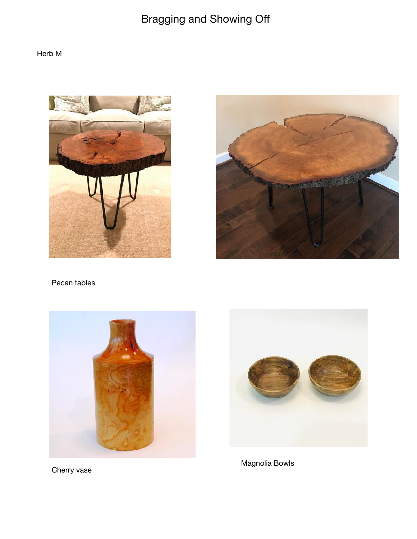## Bragging and Showing Off

### Herb M





Pecan tables



Cherry vase



Magnolia Bowls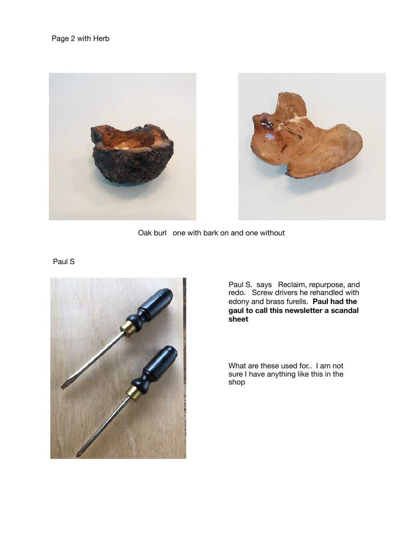

Oak burl one with bark on and one without

#### Paul S



Paul S. says Reclaim, repurpose, and redo. Screw drivers he rehandled with edony and brass furells. **Paul had the gaul to call this newsletter a scandal sheet**

What are these used for.. I am not sure I have anything like this in the shop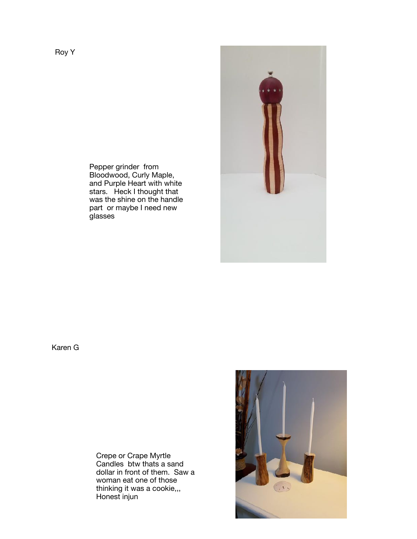

Pepper grinder from Bloodwood, Curly Maple, and Purple Heart with white stars. Heck I thought that was the shine on the handle part or maybe I need new glasses

Karen G

Crepe or Crape Myrtle Candles btw thats a sand dollar in front of them. Saw a woman eat one of those thinking it was a cookie,,, Honest injun

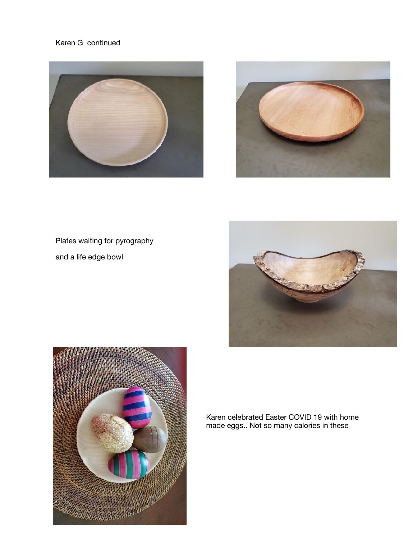#### Karen G continued





## Plates waiting for pyrography

and a life edge bowl





Karen celebrated Easter COVID 19 with home made eggs.. Not so many calories in these